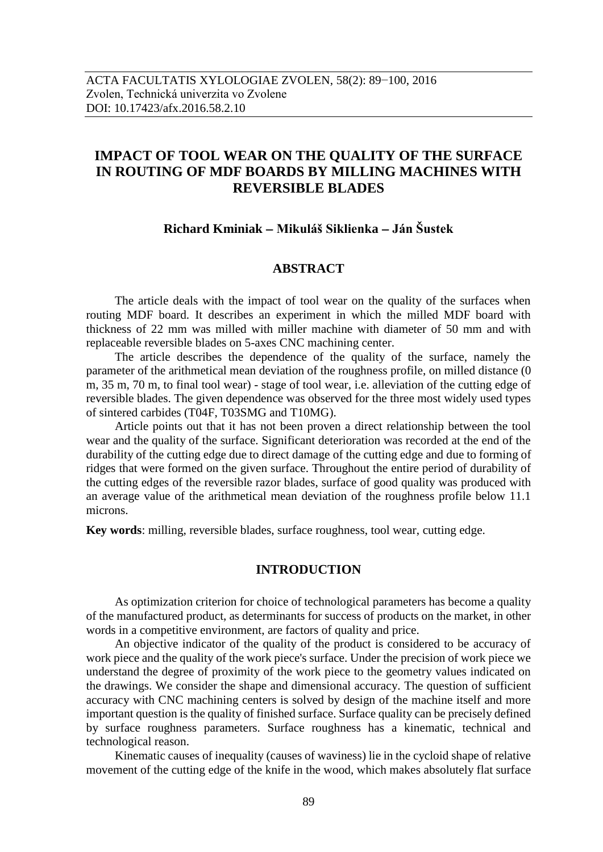# **IMPACT OF TOOL WEAR ON THE QUALITY OF THE SURFACE IN ROUTING OF MDF BOARDS BY MILLING MACHINES WITH REVERSIBLE BLADES**

## **Richard Kminiak Mikuláš Siklienka Ján Šustek**

## **ABSTRACT**

The article deals with the impact of tool wear on the quality of the surfaces when routing MDF board. It describes an experiment in which the milled MDF board with thickness of 22 mm was milled with miller machine with diameter of 50 mm and with replaceable reversible blades on 5-axes CNC machining center.

The article describes the dependence of the quality of the surface, namely the parameter of the arithmetical mean deviation of the roughness profile, on milled distance (0 m, 35 m, 70 m, to final tool wear) - stage of tool wear, i.e. alleviation of the cutting edge of reversible blades. The given dependence was observed for the three most widely used types of sintered carbides (T04F, T03SMG and T10MG).

Article points out that it has not been proven a direct relationship between the tool wear and the quality of the surface. Significant deterioration was recorded at the end of the durability of the cutting edge due to direct damage of the cutting edge and due to forming of ridges that were formed on the given surface. Throughout the entire period of durability of the cutting edges of the reversible razor blades, surface of good quality was produced with an average value of the arithmetical mean deviation of the roughness profile below 11.1 microns.

**Key words**: milling, reversible blades, surface roughness, tool wear, cutting edge.

# **INTRODUCTION**

As optimization criterion for choice of technological parameters has become a quality of the manufactured product, as determinants for success of products on the market, in other words in a competitive environment, are factors of quality and price.

An objective indicator of the quality of the product is considered to be accuracy of work piece and the quality of the work piece's surface. Under the precision of work piece we understand the degree of proximity of the work piece to the geometry values indicated on the drawings. We consider the shape and dimensional accuracy. The question of sufficient accuracy with CNC machining centers is solved by design of the machine itself and more important question is the quality of finished surface. Surface quality can be precisely defined by surface roughness parameters. Surface roughness has a kinematic, technical and technological reason.

Kinematic causes of inequality (causes of waviness) lie in the cycloid shape of relative movement of the cutting edge of the knife in the wood, which makes absolutely flat surface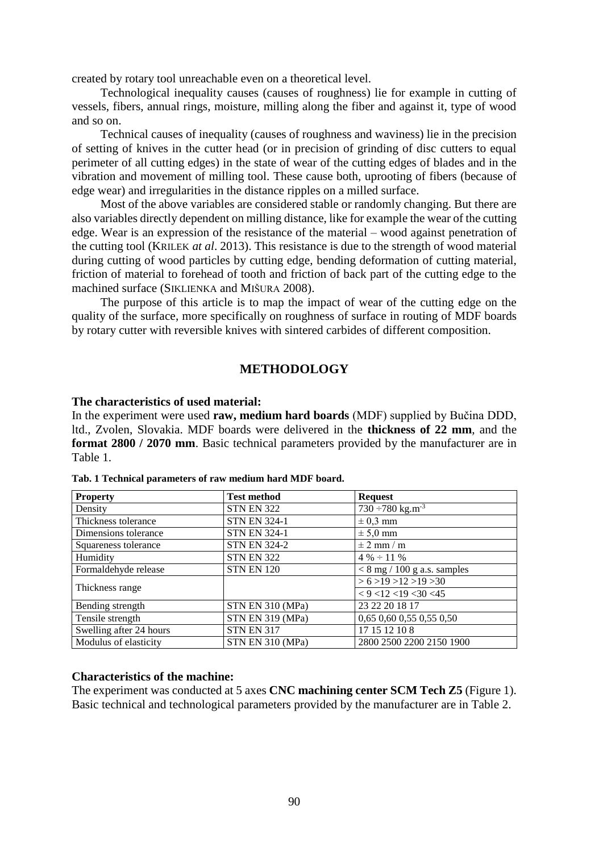created by rotary tool unreachable even on a theoretical level.

Technological inequality causes (causes of roughness) lie for example in cutting of vessels, fibers, annual rings, moisture, milling along the fiber and against it, type of wood and so on.

Technical causes of inequality (causes of roughness and waviness) lie in the precision of setting of knives in the cutter head (or in precision of grinding of disc cutters to equal perimeter of all cutting edges) in the state of wear of the cutting edges of blades and in the vibration and movement of milling tool. These cause both, uprooting of fibers (because of edge wear) and irregularities in the distance ripples on a milled surface.

Most of the above variables are considered stable or randomly changing. But there are also variables directly dependent on milling distance, like for example the wear of the cutting edge. Wear is an expression of the resistance of the material – wood against penetration of the cutting tool (KRILEK *at al*. 2013). This resistance is due to the strength of wood material during cutting of wood particles by cutting edge, bending deformation of cutting material, friction of material to forehead of tooth and friction of back part of the cutting edge to the machined surface (SIKLIENKA and MIŠURA 2008).

The purpose of this article is to map the impact of wear of the cutting edge on the quality of the surface, more specifically on roughness of surface in routing of MDF boards by rotary cutter with reversible knives with sintered carbides of different composition.

## **METHODOLOGY**

#### **The characteristics of used material:**

In the experiment were used **raw, medium hard boards** (MDF) supplied by Bučina DDD, ltd., Zvolen, Slovakia. MDF boards were delivered in the **thickness of 22 mm**, and the **format 2800 / 2070 mm**. Basic technical parameters provided by the manufacturer are in Table 1.

| <b>Property</b>         | <b>Test method</b>  | <b>Request</b>                        |
|-------------------------|---------------------|---------------------------------------|
| Density                 | <b>STN EN 322</b>   | $\sqrt{730 - 780}$ kg.m <sup>-3</sup> |
| Thickness tolerance     | <b>STN EN 324-1</b> | $\pm$ 0.3 mm                          |
| Dimensions tolerance    | <b>STN EN 324-1</b> | $\pm$ 5,0 mm                          |
| Squareness tolerance    | <b>STN EN 324-2</b> | $\pm$ 2 mm / m                        |
| Humidity                | <b>STN EN 322</b>   | $4\% \div 11\%$                       |
| Formaldehyde release    | <b>STN EN 120</b>   | $< 8$ mg / 100 g a.s. samples         |
|                         |                     | > 6 > 19 > 12 > 19 > 30               |
| Thickness range         |                     | $<$ 9 < 12 < 19 < 30 < 45             |
| Bending strength        | STN EN 310 (MPa)    | 23 22 20 18 17                        |
| Tensile strength        | STN EN 319 (MPa)    | 0,65 0,60 0,55 0,55 0,50              |
| Swelling after 24 hours | <b>STN EN 317</b>   | 17 15 12 10 8                         |
| Modulus of elasticity   | STN EN 310 (MPa)    | 2800 2500 2200 2150 1900              |

**Tab. 1 Technical parameters of raw medium hard MDF board.**

#### **Characteristics of the machine:**

The experiment was conducted at 5 axes **CNC machining center SCM Tech Z5** (Figure 1). Basic technical and technological parameters provided by the manufacturer are in Table 2.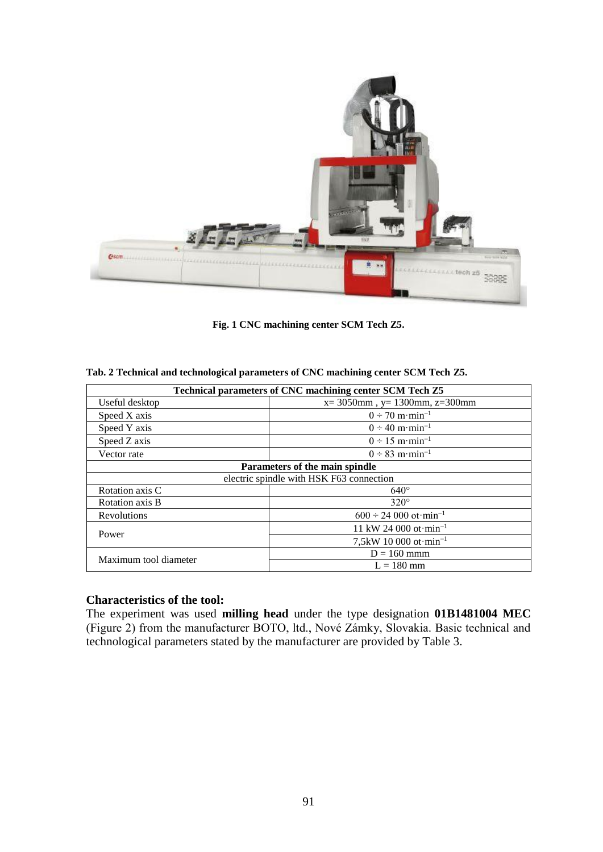

**Fig. 1 CNC machining center SCM Tech Z5.**

|  | Tab. 2 Technical and technological parameters of CNC machining center SCM Tech Z5. |
|--|------------------------------------------------------------------------------------|
|--|------------------------------------------------------------------------------------|

| Technical parameters of CNC machining center SCM Tech Z5 |                                                   |  |  |  |  |
|----------------------------------------------------------|---------------------------------------------------|--|--|--|--|
| Useful desktop                                           | $x=3050$ mm, $y=1300$ mm, $z=300$ mm              |  |  |  |  |
| Speed X axis                                             | $0 \div 70 \text{ m} \cdot \text{min}^{-1}$       |  |  |  |  |
| Speed Y axis                                             | $0 \div 40 \text{ m} \cdot \text{min}^{-1}$       |  |  |  |  |
| Speed Z axis                                             | $0 \div 15 \text{ m} \cdot \text{min}^{-1}$       |  |  |  |  |
| Vector rate                                              | $0 \div 83 \; \text{m} \cdot \text{min}^{-1}$     |  |  |  |  |
|                                                          | Parameters of the main spindle                    |  |  |  |  |
|                                                          | electric spindle with HSK F63 connection          |  |  |  |  |
| Rotation axis C                                          | $640^\circ$                                       |  |  |  |  |
| Rotation axis B                                          | $320^\circ$                                       |  |  |  |  |
| Revolutions                                              | $600 \div 24\,000\,\text{ot}\cdot\text{min}^{-1}$ |  |  |  |  |
| Power                                                    | 11 kW 24 000 ot $\text{min}^{-1}$                 |  |  |  |  |
|                                                          | 7,5kW 10 000 ot $\text{min}^{-1}$                 |  |  |  |  |
| Maximum tool diameter                                    | $D = 160$ mmm                                     |  |  |  |  |
|                                                          | $L = 180$ mm                                      |  |  |  |  |

## **Characteristics of the tool:**

The experiment was used **milling head** under the type designation **01B1481004 MEC** (Figure 2) from the manufacturer BOTO, ltd., Nové Zámky, Slovakia. Basic technical and technological parameters stated by the manufacturer are provided by Table 3.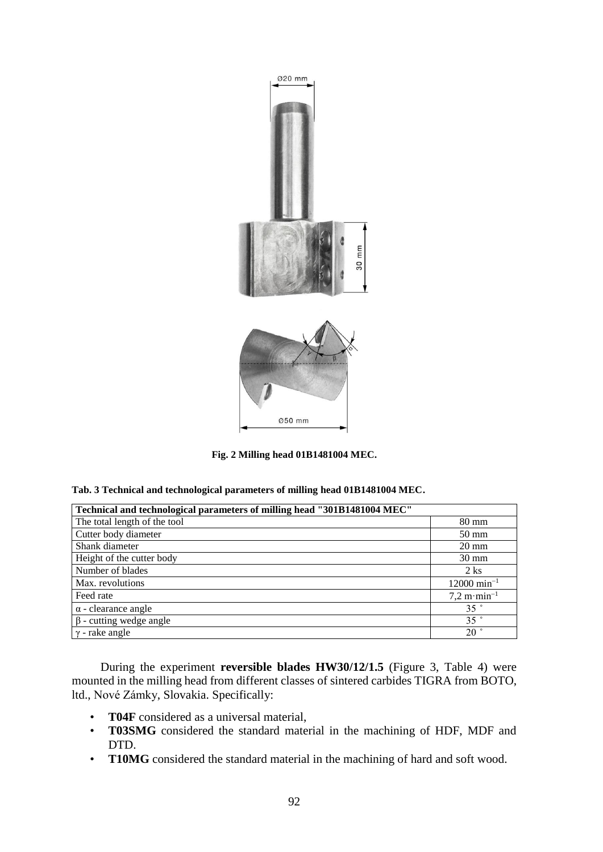

**Fig. 2 Milling head 01B1481004 MEC.**

|  |  | Tab. 3 Technical and technological parameters of milling head 01B1481004 MEC. |  |  |  |
|--|--|-------------------------------------------------------------------------------|--|--|--|
|  |  |                                                                               |  |  |  |

| Technical and technological parameters of milling head "301B1481004 MEC" |                                       |  |  |  |
|--------------------------------------------------------------------------|---------------------------------------|--|--|--|
| The total length of the tool                                             | $80 \text{ mm}$                       |  |  |  |
| Cutter body diameter                                                     | 50 mm                                 |  |  |  |
| Shank diameter                                                           | $20 \text{ mm}$                       |  |  |  |
| Height of the cutter body                                                | $30 \text{ mm}$                       |  |  |  |
| Number of blades                                                         | $2$ ks                                |  |  |  |
| Max. revolutions                                                         | $12000 \text{ min}^{-1}$              |  |  |  |
| Feed rate                                                                | $7.2 \text{ m} \cdot \text{min}^{-1}$ |  |  |  |
| $\alpha$ - clearance angle                                               | $35$ $\degree$                        |  |  |  |
| $\beta$ - cutting wedge angle                                            | $35$ $\degree$                        |  |  |  |
| $\gamma$ - rake angle                                                    | $20^{\circ}$                          |  |  |  |

During the experiment **reversible blades HW30/12/1.5** (Figure 3, Table 4) were mounted in the milling head from different classes of sintered carbides TIGRA from BOTO, ltd., Nové Zámky, Slovakia. Specifically:

- **T04F** considered as a universal material,
- **T03SMG** considered the standard material in the machining of HDF, MDF and DTD.
- **T10MG** considered the standard material in the machining of hard and soft wood.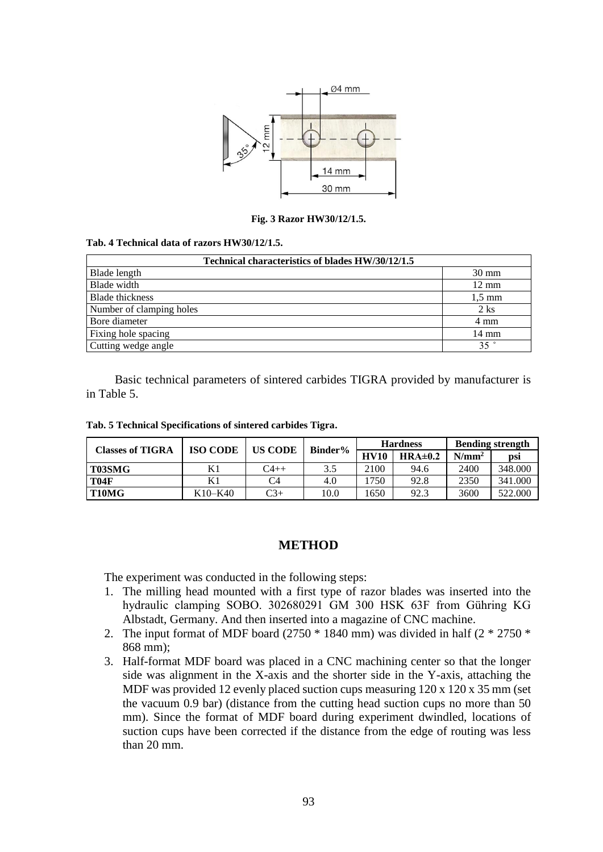

**Fig. 3 Razor HW30/12/1.5.**

#### **Tab. 4 Technical data of razors HW30/12/1.5.**

| Technical characteristics of blades HW/30/12/1.5 |                  |  |  |  |  |
|--------------------------------------------------|------------------|--|--|--|--|
| Blade length                                     | $30 \text{ mm}$  |  |  |  |  |
| Blade width                                      | $12 \text{ mm}$  |  |  |  |  |
| <b>Blade thickness</b>                           | $1.5 \text{ mm}$ |  |  |  |  |
| Number of clamping holes                         | $2$ ks           |  |  |  |  |
| Bore diameter                                    | 4 mm             |  |  |  |  |
| Fixing hole spacing                              | 14 mm            |  |  |  |  |
| Cutting wedge angle                              | $35$ $\degree$   |  |  |  |  |

Basic technical parameters of sintered carbides TIGRA provided by manufacturer is in Table 5.

|  |  | Tab. 5 Technical Specifications of sintered carbides Tigra. |  |  |  |
|--|--|-------------------------------------------------------------|--|--|--|
|--|--|-------------------------------------------------------------|--|--|--|

| <b>Classes of TIGRA</b>        | <b>ISO CODE</b> | <b>US CODE</b> | Binder% | <b>Hardness</b> |             | <b>Bending strength</b> |         |
|--------------------------------|-----------------|----------------|---------|-----------------|-------------|-------------------------|---------|
|                                |                 |                |         | <b>HV10</b>     | $HRA\pm0.2$ | $N/mm^2$                | psi     |
| T03SMG                         |                 | $C4++$         | 3.5     | 2100            | 94.6        | 2400                    | 348.000 |
| <b>T04F</b>                    |                 | C4             | 4.0     | .750            | 92.8        | 2350                    | 341.000 |
| T <sub>10</sub> M <sub>G</sub> | K10–K40         | $C_{3+}$       | 10.0    | 1650            | 92.3        | 3600                    | 522.000 |

## **METHOD**

The experiment was conducted in the following steps:

- 1. The milling head mounted with a first type of razor blades was inserted into the hydraulic clamping SOBO. 302680291 GM 300 HSK 63F from Gühring KG Albstadt, Germany. And then inserted into a magazine of CNC machine.
- 2. The input format of MDF board (2750  $*$  1840 mm) was divided in half (2  $*$  2750  $*$ 868 mm);
- 3. Half-format MDF board was placed in a CNC machining center so that the longer side was alignment in the X-axis and the shorter side in the Y-axis, attaching the MDF was provided 12 evenly placed suction cups measuring 120 x 120 x 35 mm (set the vacuum 0.9 bar) (distance from the cutting head suction cups no more than 50 mm). Since the format of MDF board during experiment dwindled, locations of suction cups have been corrected if the distance from the edge of routing was less than 20 mm.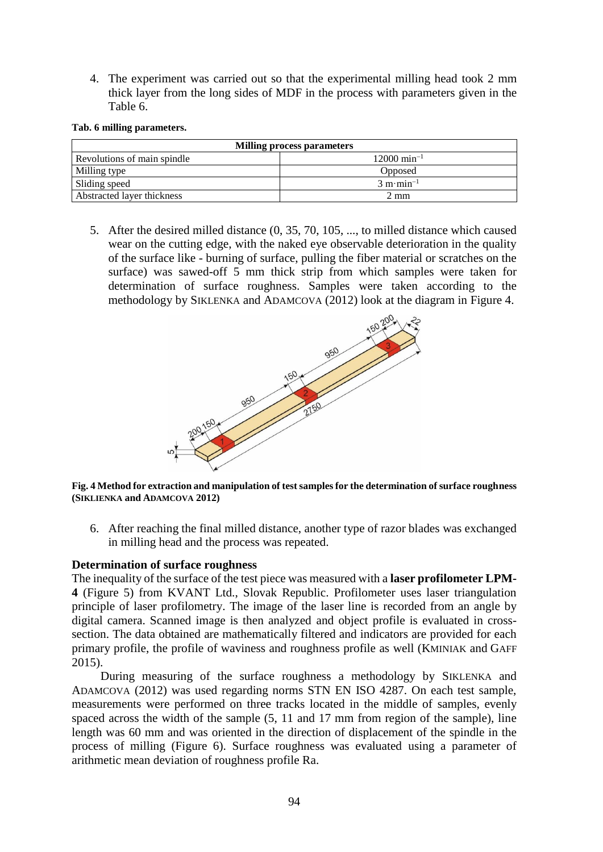4. The experiment was carried out so that the experimental milling head took 2 mm thick layer from the long sides of MDF in the process with parameters given in the Table 6.

**Tab. 6 milling parameters.**

| <b>Milling process parameters</b> |                                     |  |  |  |  |
|-----------------------------------|-------------------------------------|--|--|--|--|
| Revolutions of main spindle       | $12000 \text{ min}^{-1}$            |  |  |  |  |
| Milling type                      | Opposed                             |  |  |  |  |
| Sliding speed                     | $3 \text{ m} \cdot \text{min}^{-1}$ |  |  |  |  |
| Abstracted layer thickness        | 2 mm                                |  |  |  |  |

5. After the desired milled distance (0, 35, 70, 105, ..., to milled distance which caused wear on the cutting edge, with the naked eye observable deterioration in the quality of the surface like - burning of surface, pulling the fiber material or scratches on the surface) was sawed-off 5 mm thick strip from which samples were taken for determination of surface roughness. Samples were taken according to the methodology by SIKLENKA and ADAMCOVA (2012) look at the diagram in Figure 4.



**Fig. 4 Method for extraction and manipulation of test samples for the determination of surface roughness (SIKLIENKA and ADAMCOVA 2012)**

6. After reaching the final milled distance, another type of razor blades was exchanged in milling head and the process was repeated.

## **Determination of surface roughness**

The inequality of the surface of the test piece was measured with a **laser profilometer LPM-4** (Figure 5) from KVANT Ltd., Slovak Republic. Profilometer uses laser triangulation principle of laser profilometry. The image of the laser line is recorded from an angle by digital camera. Scanned image is then analyzed and object profile is evaluated in crosssection. The data obtained are mathematically filtered and indicators are provided for each primary profile, the profile of waviness and roughness profile as well (KMINIAK and GAFF  $2015$ ).

During measuring of the surface roughness a methodology by SIKLENKA and ADAMCOVA (2012) was used regarding norms STN EN ISO 4287. On each test sample, measurements were performed on three tracks located in the middle of samples, evenly spaced across the width of the sample (5, 11 and 17 mm from region of the sample), line length was 60 mm and was oriented in the direction of displacement of the spindle in the process of milling (Figure 6). Surface roughness was evaluated using a parameter of arithmetic mean deviation of roughness profile Ra.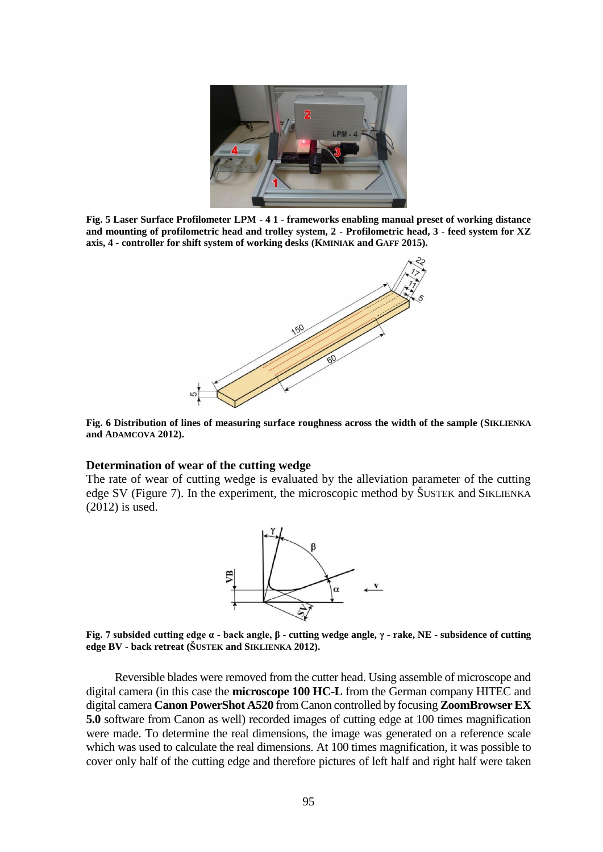

**Fig. 5 Laser Surface Profilometer LPM - 4 1 - frameworks enabling manual preset of working distance and mounting of profilometric head and trolley system, 2 - Profilometric head, 3 - feed system for XZ axis, 4 - controller for shift system of working desks (KMINIAK and GAFF 2015).**



**Fig. 6 Distribution of lines of measuring surface roughness across the width of the sample (SIKLIENKA and ADAMCOVA 2012).**

#### **Determination of wear of the cutting wedge**

The rate of wear of cutting wedge is evaluated by the alleviation parameter of the cutting edge SV (Figure 7). In the experiment, the microscopic method by ŠUSTEK and SIKLIENKA (2012) is used.



**Fig. 7 subsided cutting edge α - back angle, β - cutting wedge angle, γ - rake, NE - subsidence of cutting edge BV - back retreat (ŠUSTEK and SIKLIENKA 2012).**

Reversible blades were removed from the cutter head. Using assemble of microscope and digital camera (in this case the **microscope 100 HC-L** from the German company HITEC and digital camera **Canon PowerShot A520** from Canon controlled by focusing **ZoomBrowser EX 5.0** software from Canon as well) recorded images of cutting edge at 100 times magnification were made. To determine the real dimensions, the image was generated on a reference scale which was used to calculate the real dimensions. At 100 times magnification, it was possible to cover only half of the cutting edge and therefore pictures of left half and right half were taken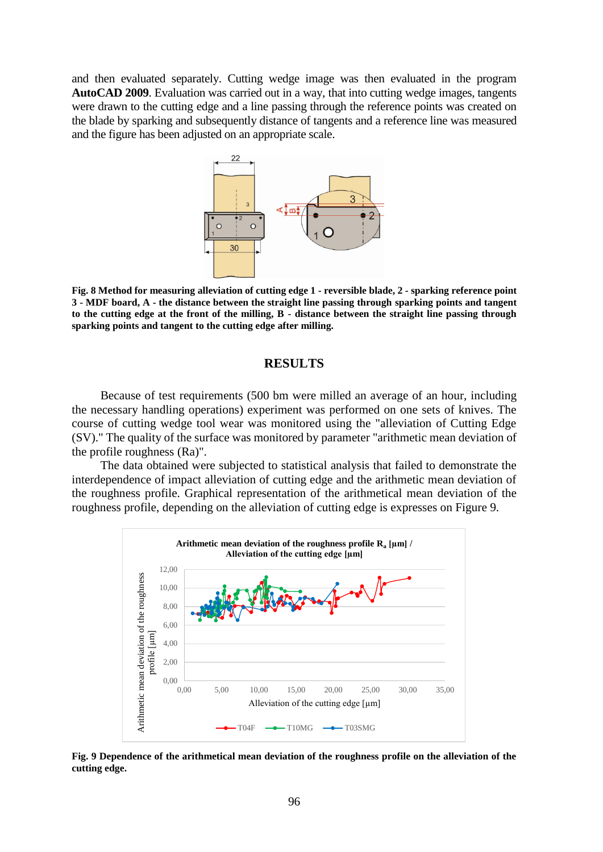and then evaluated separately. Cutting wedge image was then evaluated in the program **AutoCAD 2009**. Evaluation was carried out in a way, that into cutting wedge images, tangents were drawn to the cutting edge and a line passing through the reference points was created on the blade by sparking and subsequently distance of tangents and a reference line was measured and the figure has been adjusted on an appropriate scale.



**Fig. 8 Method for measuring alleviation of cutting edge 1 - reversible blade, 2 - sparking reference point 3 - MDF board, A - the distance between the straight line passing through sparking points and tangent to the cutting edge at the front of the milling, B - distance between the straight line passing through sparking points and tangent to the cutting edge after milling.**

## **RESULTS**

Because of test requirements (500 bm were milled an average of an hour, including the necessary handling operations) experiment was performed on one sets of knives. The course of cutting wedge tool wear was monitored using the "alleviation of Cutting Edge (SV)." The quality of the surface was monitored by parameter "arithmetic mean deviation of the profile roughness (Ra)".

The data obtained were subjected to statistical analysis that failed to demonstrate the interdependence of impact alleviation of cutting edge and the arithmetic mean deviation of the roughness profile. Graphical representation of the arithmetical mean deviation of the roughness profile, depending on the alleviation of cutting edge is expresses on Figure 9.



**Fig. 9 Dependence of the arithmetical mean deviation of the roughness profile on the alleviation of the cutting edge.**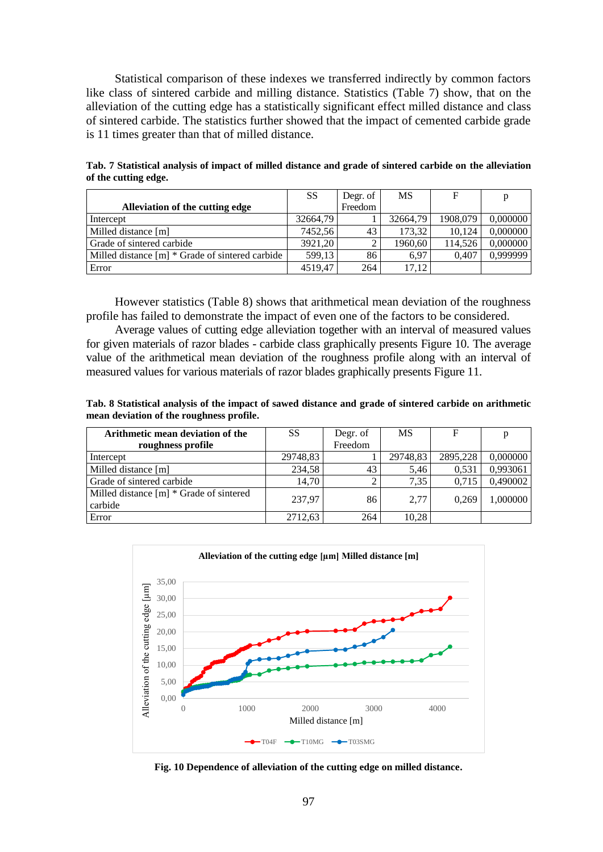Statistical comparison of these indexes we transferred indirectly by common factors like class of sintered carbide and milling distance. Statistics (Table 7) show, that on the alleviation of the cutting edge has a statistically significant effect milled distance and class of sintered carbide. The statistics further showed that the impact of cemented carbide grade is 11 times greater than that of milled distance.

|                                                 | SS       | Degr. of | <b>MS</b> | F        | p        |
|-------------------------------------------------|----------|----------|-----------|----------|----------|
| Alleviation of the cutting edge                 |          | Freedom  |           |          |          |
| Intercept                                       | 32664.79 |          | 32664,79  | 1908.079 | 0.000000 |
| Milled distance [m]                             | 7452.56  | 43       | 173.32    | 10.124   | 0.000000 |
| Grade of sintered carbide                       | 3921.20  |          | 1960,60   | 114.526  | 0.000000 |
| Milled distance [m] * Grade of sintered carbide | 599.13   | 86       | 6.97      | 0.407    | 0.999999 |
| Error                                           | 4519.47  | 264      | 17,12     |          |          |

**Tab. 7 Statistical analysis of impact of milled distance and grade of sintered carbide on the alleviation of the cutting edge.**

However statistics (Table 8) shows that arithmetical mean deviation of the roughness profile has failed to demonstrate the impact of even one of the factors to be considered.

Average values of cutting edge alleviation together with an interval of measured values for given materials of razor blades - carbide class graphically presents Figure 10. The average value of the arithmetical mean deviation of the roughness profile along with an interval of measured values for various materials of razor blades graphically presents Figure 11.

**Tab. 8 Statistical analysis of the impact of sawed distance and grade of sintered carbide on arithmetic mean deviation of the roughness profile.**

| Arithmetic mean deviation of the                   | SS       | Degr. of | <b>MS</b> | F        | p        |
|----------------------------------------------------|----------|----------|-----------|----------|----------|
| roughness profile                                  |          | Freedom  |           |          |          |
| Intercept                                          | 29748,83 |          | 29748,83  | 2895.228 | 0,000000 |
| Milled distance [m]                                | 234.58   | 43       | 5,46      | 0.531    | 0,993061 |
| Grade of sintered carbide                          | 14,70    |          | 7,35      | 0.715    | 0,490002 |
| Milled distance [m] * Grade of sintered<br>carbide | 237,97   | 86       | 2,77      | 0.269    | 1,000000 |
| Error                                              | 2712,63  | 264      | 10,28     |          |          |



**Fig. 10 Dependence of alleviation of the cutting edge on milled distance.**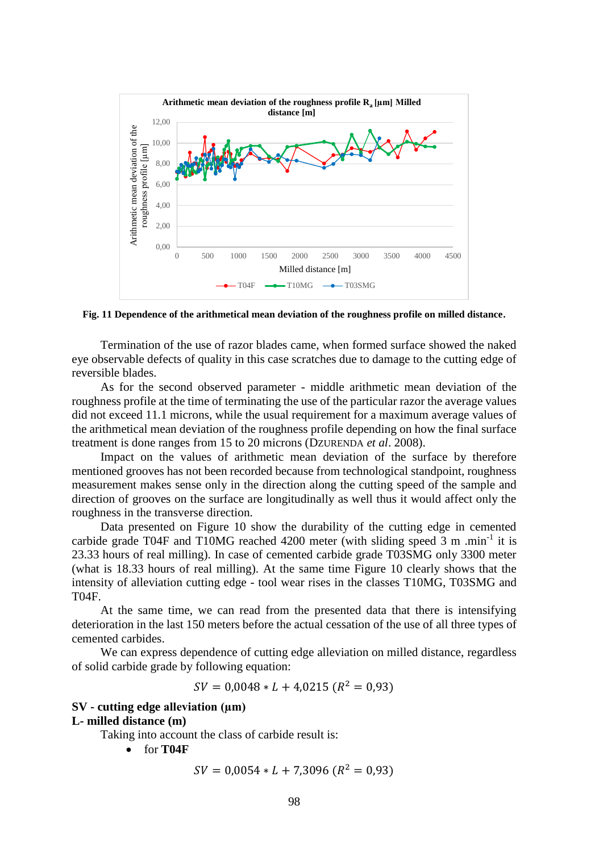

**Fig. 11 Dependence of the arithmetical mean deviation of the roughness profile on milled distance.**

Termination of the use of razor blades came, when formed surface showed the naked eye observable defects of quality in this case scratches due to damage to the cutting edge of reversible blades.

As for the second observed parameter - middle arithmetic mean deviation of the roughness profile at the time of terminating the use of the particular razor the average values did not exceed 11.1 microns, while the usual requirement for a maximum average values of the arithmetical mean deviation of the roughness profile depending on how the final surface treatment is done ranges from 15 to 20 microns (DZURENDA *et al*. 2008).

Impact on the values of arithmetic mean deviation of the surface by therefore mentioned grooves has not been recorded because from technological standpoint, roughness measurement makes sense only in the direction along the cutting speed of the sample and direction of grooves on the surface are longitudinally as well thus it would affect only the roughness in the transverse direction.

Data presented on Figure 10 show the durability of the cutting edge in cemented carbide grade T04F and T10MG reached 4200 meter (with sliding speed 3 m .min<sup>-1</sup> it is 23.33 hours of real milling). In case of cemented carbide grade T03SMG only 3300 meter (what is 18.33 hours of real milling). At the same time Figure 10 clearly shows that the intensity of alleviation cutting edge - tool wear rises in the classes T10MG, T03SMG and T04F.

At the same time, we can read from the presented data that there is intensifying deterioration in the last 150 meters before the actual cessation of the use of all three types of cemented carbides.

We can express dependence of cutting edge alleviation on milled distance, regardless of solid carbide grade by following equation:

$$
SV = 0.0048 * L + 4.0215 (R^2 = 0.93)
$$

# **SV - cutting edge alleviation (µm)**

#### **L- milled distance (m)**

Taking into account the class of carbide result is:

for **T04F**

$$
SV = 0.0054 * L + 7.3096 (R^2 = 0.93)
$$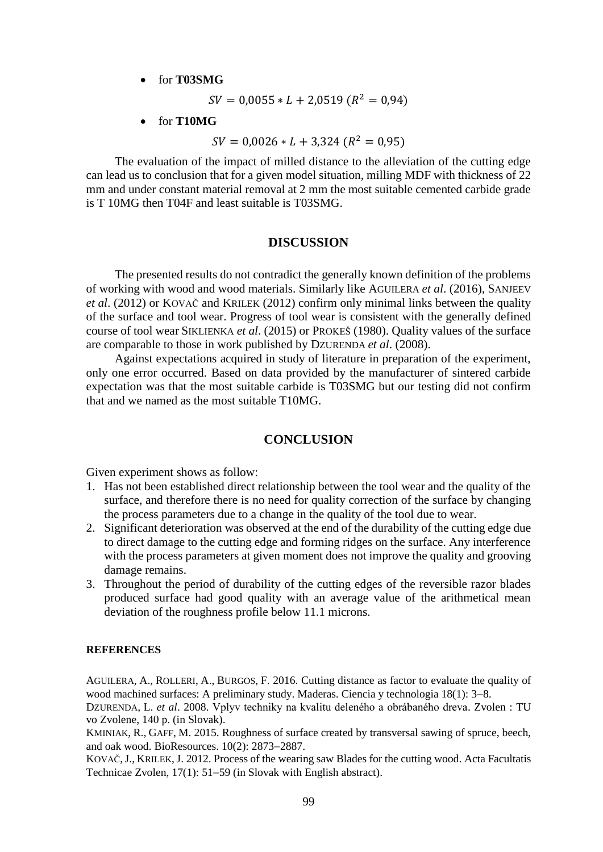for **T03SMG**

 $SV = 0,0055 * L + 2,0519 (R^2 = 0,94)$ 

for **T10MG**

 $SV = 0,0026 * L + 3,324 (R^2 = 0,95)$ 

The evaluation of the impact of milled distance to the alleviation of the cutting edge can lead us to conclusion that for a given model situation, milling MDF with thickness of 22 mm and under constant material removal at 2 mm the most suitable cemented carbide grade is T 10MG then T04F and least suitable is T03SMG.

#### **DISCUSSION**

The presented results do not contradict the generally known definition of the problems of working with wood and wood materials. Similarly like AGUILERA *et al*. (2016), SANJEEV *et al*. (2012) or KOVAČ and KRILEK (2012) confirm only minimal links between the quality of the surface and tool wear. Progress of tool wear is consistent with the generally defined course of tool wear SIKLIENKA *et al*. (2015) or PROKEŠ (1980). Quality values of the surface are comparable to those in work published by DZURENDA *et al*. (2008).

Against expectations acquired in study of literature in preparation of the experiment, only one error occurred. Based on data provided by the manufacturer of sintered carbide expectation was that the most suitable carbide is T03SMG but our testing did not confirm that and we named as the most suitable T10MG.

## **CONCLUSION**

Given experiment shows as follow:

- 1. Has not been established direct relationship between the tool wear and the quality of the surface, and therefore there is no need for quality correction of the surface by changing the process parameters due to a change in the quality of the tool due to wear.
- 2. Significant deterioration was observed at the end of the durability of the cutting edge due to direct damage to the cutting edge and forming ridges on the surface. Any interference with the process parameters at given moment does not improve the quality and grooving damage remains.
- 3. Throughout the period of durability of the cutting edges of the reversible razor blades produced surface had good quality with an average value of the arithmetical mean deviation of the roughness profile below 11.1 microns.

#### **REFERENCES**

AGUILERA, A., ROLLERI, A., BURGOS, F. 2016. Cutting distance as factor to evaluate the quality of wood machined surfaces: A preliminary study. Maderas. Ciencia y technologia  $18(1)$ : 3–8.

DZURENDA, L. *et al*. 2008. Vplyv techniky na kvalitu deleného a obrábaného dreva. Zvolen : TU vo Zvolene, 140 p. (in Slovak).

KMINIAK, R., GAFF, M. 2015. Roughness of surface created by transversal sawing of spruce, beech, and oak wood. BioResources.  $10(2)$ : 2873-2887.

KOVAČ,J., KRILEK,J. 2012. Process of the wearing saw Blades for the cutting wood. Acta Facultatis Technicae Zvolen,  $17(1)$ :  $51-59$  (in Slovak with English abstract).